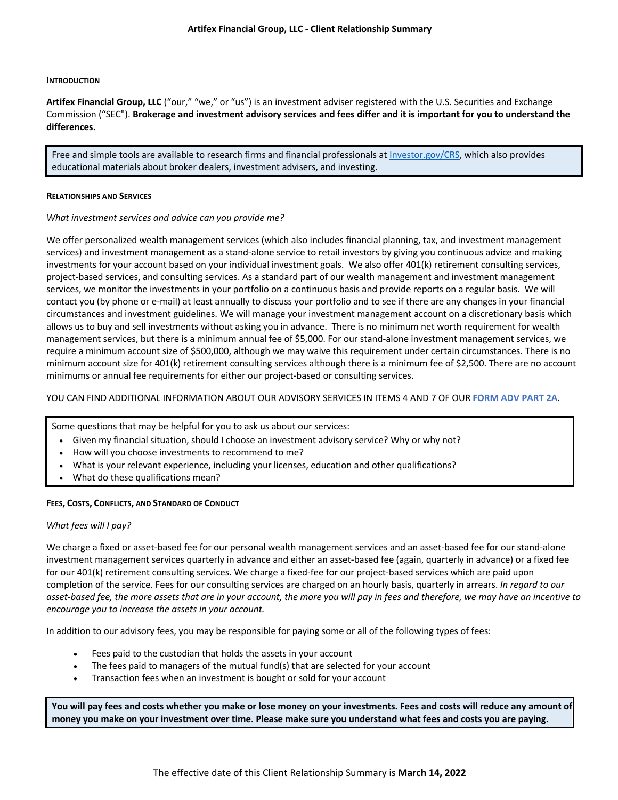#### **INTRODUCTION**

**Artifex Financial Group, LLC** ("our," "we," or "us") is an investment adviser registered with the U.S. Securities and Exchange Commission ("SEC"). **Brokerage and investment advisory services and fees differ and it is important for you to understand the differences.**

Free and simple tools are available to research firms and financial professionals at [Investor.gov/CRS,](https://www.investor.gov/CRS) which also provides educational materials about broker dealers, investment advisers, and investing.

#### **RELATIONSHIPS AND SERVICES**

#### *What investment services and advice can you provide me?*

We offer personalized wealth management services (which also includes financial planning, tax, and investment management services) and investment management as a stand-alone service to retail investors by giving you continuous advice and making investments for your account based on your individual investment goals. We also offer 401(k) retirement consulting services, project-based services, and consulting services. As a standard part of our wealth management and investment management services, we monitor the investments in your portfolio on a continuous basis and provide reports on a regular basis. We will contact you (by phone or e-mail) at least annually to discuss your portfolio and to see if there are any changes in your financial circumstances and investment guidelines. We will manage your investment management account on a discretionary basis which allows us to buy and sell investments without asking you in advance. There is no minimum net worth requirement for wealth management services, but there is a minimum annual fee of \$5,000. For our stand-alone investment management services, we require a minimum account size of \$500,000, although we may waive this requirement under certain circumstances. There is no minimum account size for 401(k) retirement consulting services although there is a minimum fee of \$2,500. There are no account minimums or annual fee requirements for either our project-based or consulting services.

### YOU CAN FIND ADDITIONAL INFORMATION ABOUT OUR ADVISORY SERVICES IN ITEMS 4 AND 7 OF OUR **[FORM ADV PART 2A](https://files.adviserinfo.sec.gov/IAPD/Content/Common/crd_iapd_Brochure.aspx?BRCHR_VRSN_ID=754933)**.

Some questions that may be helpful for you to ask us about our services:

- Given my financial situation, should I choose an investment advisory service? Why or why not?
- How will you choose investments to recommend to me?
- What is your relevant experience, including your licenses, education and other qualifications?
- What do these qualifications mean?

#### **FEES, COSTS, CONFLICTS, AND STANDARD OF CONDUCT**

#### *What fees will I pay?*

We charge a fixed or asset-based fee for our personal wealth management services and an asset-based fee for our stand-alone investment management services quarterly in advance and either an asset-based fee (again, quarterly in advance) or a fixed fee for our 401(k) retirement consulting services. We charge a fixed-fee for our project-based services which are paid upon completion of the service. Fees for our consulting services are charged on an hourly basis, quarterly in arrears. *In regard to our asset-based fee, the more assets that are in your account, the more you will pay in fees and therefore, we may have an incentive to encourage you to increase the assets in your account.*

In addition to our advisory fees, you may be responsible for paying some or all of the following types of fees:

- Fees paid to the custodian that holds the assets in your account
- The fees paid to managers of the mutual fund(s) that are selected for your account
- Transaction fees when an investment is bought or sold for your account

**You will pay fees and costs whether you make or lose money on your investments. Fees and costs will reduce any amount of money you make on your investment over time. Please make sure you understand what fees and costs you are paying.**